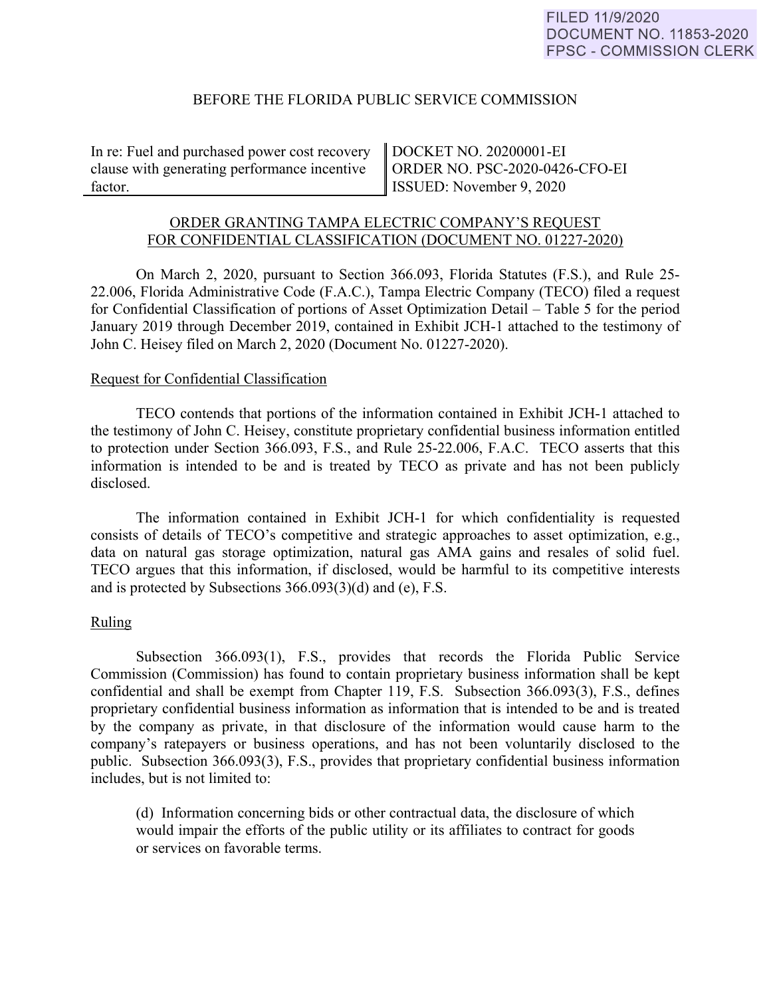### BEFORE THE FLORIDA PUBLIC SERVICE COMMISSION

In re: Fuel and purchased power cost recovery clause with generating performance incentive factor.

DOCKET NO. 20200001-EI ORDER NO. PSC-2020-0426-CFO-EI ISSUED: November 9, 2020

# ORDER GRANTING TAMPA ELECTRIC COMPANY'S REQUEST FOR CONFIDENTIAL CLASSIFICATION (DOCUMENT NO. 01227-2020)

On March 2, 2020, pursuant to Section 366.093, Florida Statutes (F.S.), and Rule 25- 22.006, Florida Administrative Code (F.A.C.), Tampa Electric Company (TECO) filed a request for Confidential Classification of portions of Asset Optimization Detail – Table 5 for the period January 2019 through December 2019, contained in Exhibit JCH-1 attached to the testimony of John C. Heisey filed on March 2, 2020 (Document No. 01227-2020).

#### Request for Confidential Classification

 TECO contends that portions of the information contained in Exhibit JCH-1 attached to the testimony of John C. Heisey, constitute proprietary confidential business information entitled to protection under Section 366.093, F.S., and Rule 25-22.006, F.A.C. TECO asserts that this information is intended to be and is treated by TECO as private and has not been publicly disclosed.

The information contained in Exhibit JCH-1 for which confidentiality is requested consists of details of TECO's competitive and strategic approaches to asset optimization, e.g., data on natural gas storage optimization, natural gas AMA gains and resales of solid fuel. TECO argues that this information, if disclosed, would be harmful to its competitive interests and is protected by Subsections 366.093(3)(d) and (e), F.S.

# Ruling

Subsection 366.093(1), F.S., provides that records the Florida Public Service Commission (Commission) has found to contain proprietary business information shall be kept confidential and shall be exempt from Chapter 119, F.S. Subsection 366.093(3), F.S., defines proprietary confidential business information as information that is intended to be and is treated by the company as private, in that disclosure of the information would cause harm to the company's ratepayers or business operations, and has not been voluntarily disclosed to the public. Subsection 366.093(3), F.S., provides that proprietary confidential business information includes, but is not limited to:

 (d) Information concerning bids or other contractual data, the disclosure of which would impair the efforts of the public utility or its affiliates to contract for goods or services on favorable terms.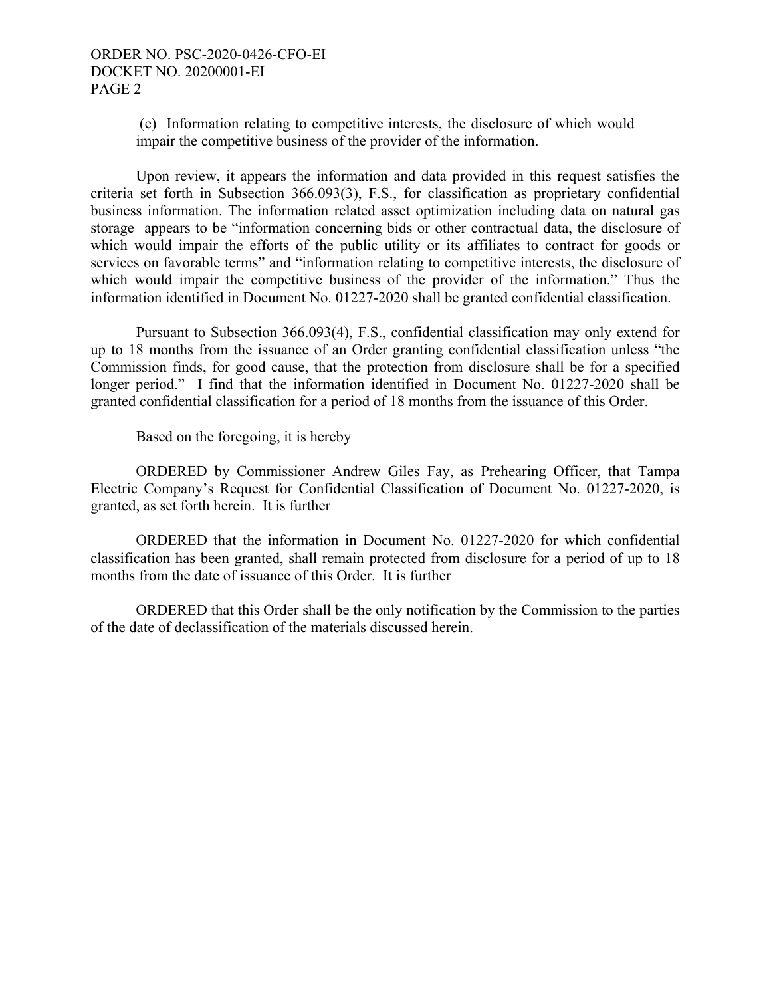(e) Information relating to competitive interests, the disclosure of which would impair the competitive business of the provider of the information.

Upon review, it appears the information and data provided in this request satisfies the criteria set forth in Subsection 366.093(3), F.S., for classification as proprietary confidential business information. The information related asset optimization including data on natural gas storage appears to be "information concerning bids or other contractual data, the disclosure of which would impair the efforts of the public utility or its affiliates to contract for goods or services on favorable terms" and "information relating to competitive interests, the disclosure of which would impair the competitive business of the provider of the information." Thus the information identified in Document No. 01227-2020 shall be granted confidential classification.

Pursuant to Subsection 366.093(4), F.S., confidential classification may only extend for up to 18 months from the issuance of an Order granting confidential classification unless "the Commission finds, for good cause, that the protection from disclosure shall be for a specified longer period." I find that the information identified in Document No. 01227-2020 shall be granted confidential classification for a period of 18 months from the issuance of this Order.

Based on the foregoing, it is hereby

 ORDERED by Commissioner Andrew Giles Fay, as Prehearing Officer, that Tampa Electric Company's Request for Confidential Classification of Document No. 01227-2020, is granted, as set forth herein. It is further

 ORDERED that the information in Document No. 01227-2020 for which confidential classification has been granted, shall remain protected from disclosure for a period of up to 18 months from the date of issuance of this Order. It is further

 ORDERED that this Order shall be the only notification by the Commission to the parties of the date of declassification of the materials discussed herein.